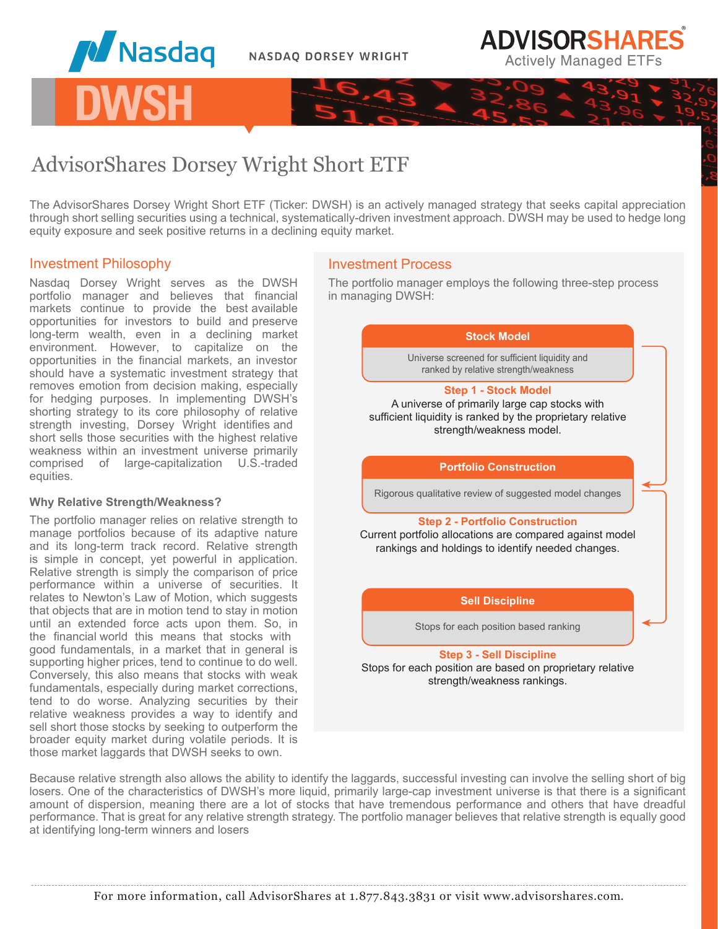



AdvisorShares Dorsey Wright Short ETF

The AdvisorShares Dorsey Wright Short ETF (Ticker: DWSH) is an actively managed strategy that seeks capital appreciation through short selling securities using a technical, systematically-driven investment approach. DWSH may be used to hedge long equity exposure and seek positive returns in a declining equity market.

## Investment Philosophy

**DWSH**

**M** Nasdaq

Nasdaq Dorsey Wright serves as the DWSH portfolio manager and believes that financial markets continue to provide the best available opportunities for investors to build and preserve long-term wealth, even in a declining market environment. However, to capitalize on the opportunities in the financial markets, an investor should have a systematic investment strategy that removes emotion from decision making, especially for hedging purposes. In implementing DWSH's shorting strategy to its core philosophy of relative strength investing, Dorsey Wright identifies and short sells those securities with the highest relative weakness within an investment universe primarily comprised of large-capitalization U.S.-traded equities.

### **Why Relative Strength/Weakness?**

The portfolio manager relies on relative strength to manage portfolios because of its adaptive nature and its long-term track record. Relative strength is simple in concept, yet powerful in application. Relative strength is simply the comparison of price performance within a universe of securities. It relates to Newton's Law of Motion, which suggests that objects that are in motion tend to stay in motion until an extended force acts upon them. So, in the financial world this means that stocks with good fundamentals, in a market that in general is supporting higher prices, tend to continue to do well. Conversely, this also means that stocks with weak fundamentals, especially during market corrections, tend to do worse. Analyzing securities by their relative weakness provides a way to identify and sell short those stocks by seeking to outperform the broader equity market during volatile periods. It is those market laggards that DWSH seeks to own.

# Investment Process

The portfolio manager employs the following three-step process in managing DWSH:

# **Step 1 - Stock Model** A universe of primarily large cap stocks with sufficient liquidity is ranked by the proprietary relative strength/weakness model. **Step 2 - Portfolio Construction** Current portfolio allocations are compared against model rankings and holdings to identify needed changes. **Portfolio Construction** Rigorous qualitative review of suggested model changes **Stock Model Sell Discipline** Universe screened for sufficient liquidity and ranked by relative strength/weakness

Stops for each position based ranking

## **Step 3 - Sell Discipline** Stops for each position are based on proprietary relative strength/weakness rankings.

Because relative strength also allows the ability to identify the laggards, successful investing can involve the selling short of big losers. One of the characteristics of DWSH's more liquid, primarily large-cap investment universe is that there is a significant amount of dispersion, meaning there are a lot of stocks that have tremendous performance and others that have dreadful performance. That is great for any relative strength strategy. The portfolio manager believes that relative strength is equally good at identifying long-term winners and losers